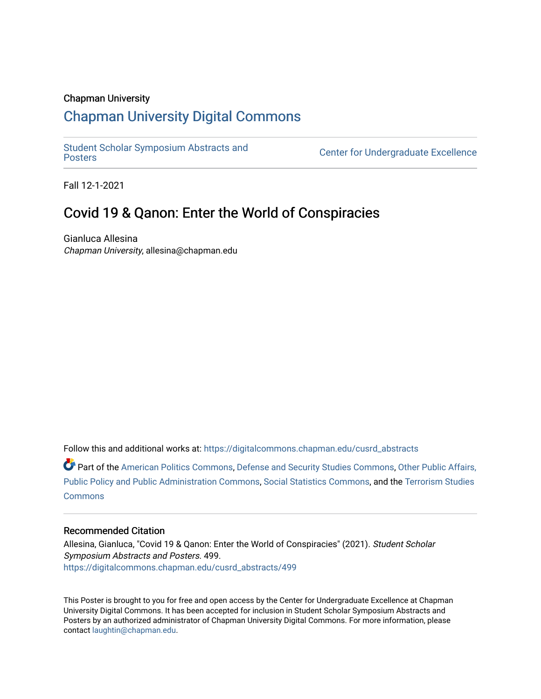## Chapman University

## [Chapman University Digital Commons](https://digitalcommons.chapman.edu/)

[Student Scholar Symposium Abstracts and](https://digitalcommons.chapman.edu/cusrd_abstracts) 

Center for Undergraduate Excellence

Fall 12-1-2021

## Covid 19 & Qanon: Enter the World of Conspiracies

Gianluca Allesina Chapman University, allesina@chapman.edu

Follow this and additional works at: [https://digitalcommons.chapman.edu/cusrd\\_abstracts](https://digitalcommons.chapman.edu/cusrd_abstracts?utm_source=digitalcommons.chapman.edu%2Fcusrd_abstracts%2F499&utm_medium=PDF&utm_campaign=PDFCoverPages) 

Part of the [American Politics Commons,](http://network.bepress.com/hgg/discipline/387?utm_source=digitalcommons.chapman.edu%2Fcusrd_abstracts%2F499&utm_medium=PDF&utm_campaign=PDFCoverPages) [Defense and Security Studies Commons](http://network.bepress.com/hgg/discipline/394?utm_source=digitalcommons.chapman.edu%2Fcusrd_abstracts%2F499&utm_medium=PDF&utm_campaign=PDFCoverPages), [Other Public Affairs,](http://network.bepress.com/hgg/discipline/403?utm_source=digitalcommons.chapman.edu%2Fcusrd_abstracts%2F499&utm_medium=PDF&utm_campaign=PDFCoverPages) [Public Policy and Public Administration Commons](http://network.bepress.com/hgg/discipline/403?utm_source=digitalcommons.chapman.edu%2Fcusrd_abstracts%2F499&utm_medium=PDF&utm_campaign=PDFCoverPages), [Social Statistics Commons](http://network.bepress.com/hgg/discipline/1275?utm_source=digitalcommons.chapman.edu%2Fcusrd_abstracts%2F499&utm_medium=PDF&utm_campaign=PDFCoverPages), and the [Terrorism Studies](http://network.bepress.com/hgg/discipline/1389?utm_source=digitalcommons.chapman.edu%2Fcusrd_abstracts%2F499&utm_medium=PDF&utm_campaign=PDFCoverPages)  **[Commons](http://network.bepress.com/hgg/discipline/1389?utm_source=digitalcommons.chapman.edu%2Fcusrd_abstracts%2F499&utm_medium=PDF&utm_campaign=PDFCoverPages)** 

## Recommended Citation

Allesina, Gianluca, "Covid 19 & Qanon: Enter the World of Conspiracies" (2021). Student Scholar Symposium Abstracts and Posters. 499. [https://digitalcommons.chapman.edu/cusrd\\_abstracts/499](https://digitalcommons.chapman.edu/cusrd_abstracts/499?utm_source=digitalcommons.chapman.edu%2Fcusrd_abstracts%2F499&utm_medium=PDF&utm_campaign=PDFCoverPages) 

This Poster is brought to you for free and open access by the Center for Undergraduate Excellence at Chapman University Digital Commons. It has been accepted for inclusion in Student Scholar Symposium Abstracts and Posters by an authorized administrator of Chapman University Digital Commons. For more information, please contact [laughtin@chapman.edu](mailto:laughtin@chapman.edu).